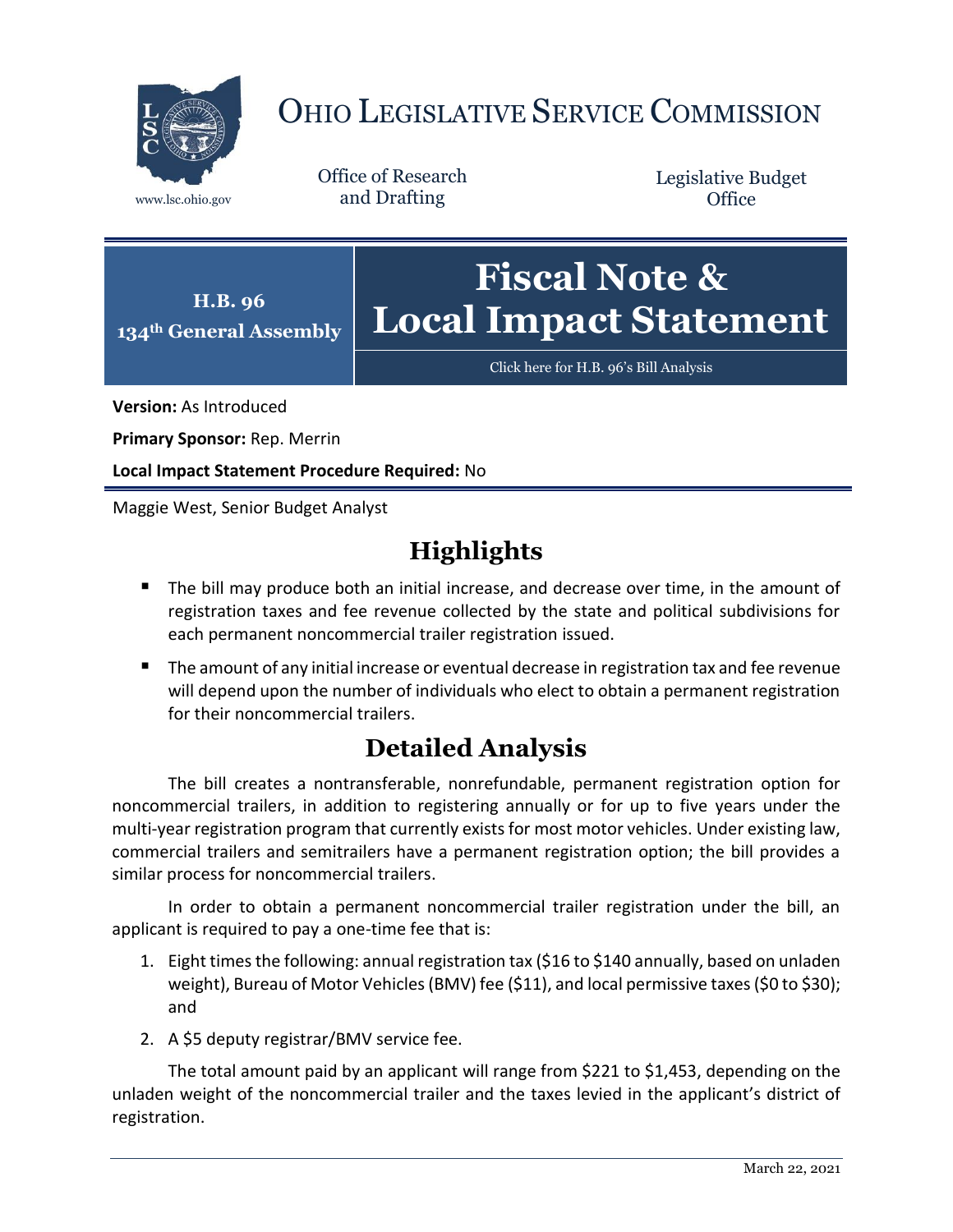

# OHIO LEGISLATIVE SERVICE COMMISSION

Office of Research www.lsc.ohio.gov and Drafting

Legislative Budget **Office** 



[Click here for H.B. 96](https://www.legislature.ohio.gov/legislation/legislation-documents?id=GA134-HB-96)'s Bill Analysis

**Version:** As Introduced

**Primary Sponsor:** Rep. Merrin

**Local Impact Statement Procedure Required:** No

Maggie West, Senior Budget Analyst

## **Highlights**

- The bill may produce both an initial increase, and decrease over time, in the amount of registration taxes and fee revenue collected by the state and political subdivisions for each permanent noncommercial trailer registration issued.
- The amount of any initial increase or eventual decrease in registration tax and fee revenue will depend upon the number of individuals who elect to obtain a permanent registration for their noncommercial trailers.

## **Detailed Analysis**

The bill creates a nontransferable, nonrefundable, permanent registration option for noncommercial trailers, in addition to registering annually or for up to five years under the multi-year registration program that currently exists for most motor vehicles. Under existing law, commercial trailers and semitrailers have a permanent registration option; the bill provides a similar process for noncommercial trailers.

In order to obtain a permanent noncommercial trailer registration under the bill, an applicant is required to pay a one-time fee that is:

- 1. Eight times the following: annual registration tax (\$16 to \$140 annually, based on unladen weight), Bureau of Motor Vehicles (BMV) fee (\$11), and local permissive taxes(\$0 to \$30); and
- 2. A \$5 deputy registrar/BMV service fee.

The total amount paid by an applicant will range from \$221 to \$1,453, depending on the unladen weight of the noncommercial trailer and the taxes levied in the applicant's district of registration.